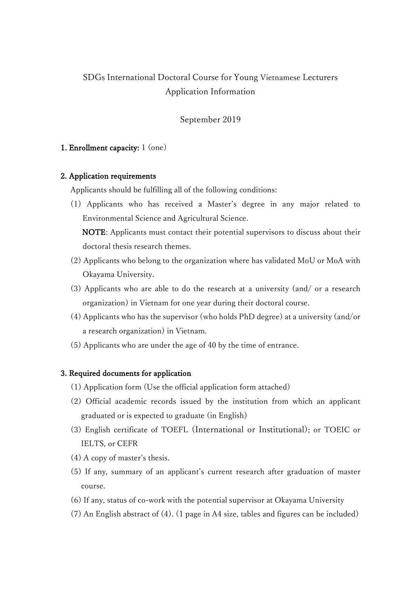# SDGs International Doctoral Course for Young Vietnamese Lecturers Application Information

## September 2019

#### 1. Enrollment capacity: 1 (one)

#### 2. Application requirements

Applicants should be fulfilling all of the following conditions:

(1) Applicants who has received a Master's degree in any major related to Environmental Science and Agricultural Science.

 NOTE: Applicants must contact their potential supervisors to discuss about their doctoral thesis research themes.

- (2) Applicants who belong to the organization where has validated MoU or MoA with Okayama University.
- (3) Applicants who are able to do the research at a university (and/ or a research organization) in Vietnam for one year during their doctoral course.
- (4) Applicants who has the supervisor (who holds PhD degree) at a university (and/or a research organization) in Vietnam.
- (5) Applicants who are under the age of 40 by the time of entrance.

#### 3. Required documents for application

- (1) Application form (Use the official application form attached)
- (2) Official academic records issued by the institution from which an applicant graduated or is expected to graduate (in English)
- (3) English certificate of TOEFL (International or Institutional), or TOEIC or IELTS, or CEFR
- (4) A copy of master's thesis.
- (5) If any, summary of an applicant's current research after graduation of master course.
- (6) If any, status of co-work with the potential supervisor at Okayama University
- (7) An English abstract of (4). (1 page in A4 size, tables and figures can be included)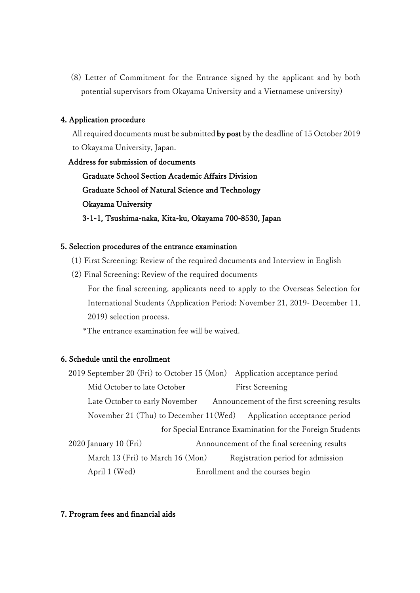(8) Letter of Commitment for the Entrance signed by the applicant and by both potential supervisors from Okayama University and a Vietnamese university)

## 4. Application procedure

 All required documents must be submitted by post by the deadline of 15 October 2019 to Okayama University, Japan.

 Address for submission of documents Graduate School Section Academic Affairs Division Graduate School of Natural Science and Technology Okayama University 3-1-1, Tsushima-naka, Kita-ku, Okayama 700-8530, Japan

#### 5. Selection procedures of the entrance examination

- (1) First Screening: Review of the required documents and Interview in English
- (2) Final Screening: Review of the required documents

 For the final screening, applicants need to apply to the Overseas Selection for International Students (Application Period: November 21, 2019- December 11, 2019) selection process.

\*The entrance examination fee will be waived.

## 6. Schedule until the enrollment

2019 September 20 (Fri) to October 15 (Mon) Application acceptance period Mid October to late October First Screening Late October to early November Announcement of the first screening results November 21 (Thu) to December 11(Wed) Application acceptance period for Special Entrance Examination for the Foreign Students 2020 January 10 (Fri) Announcement of the final screening results March 13 (Fri) to March 16 (Mon) Registration period for admission April 1 (Wed) Enrollment and the courses begin

#### 7. Program fees and financial aids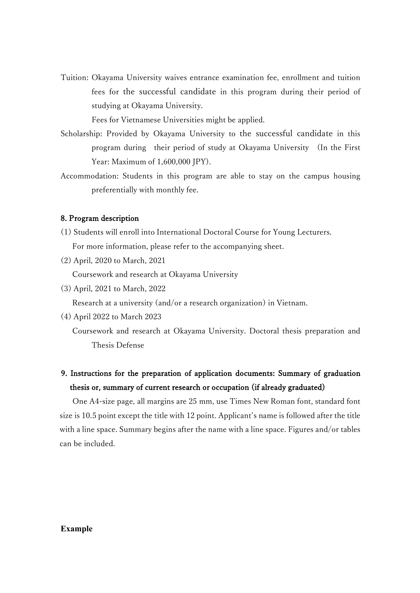Tuition: Okayama University waives entrance examination fee, enrollment and tuition fees for the successful candidate in this program during their period of studying at Okayama University.

Fees for Vietnamese Universities might be applied.

- Scholarship: Provided by Okayama University to the successful candidate in this program during their period of study at Okayama University (In the First Year: Maximum of 1,600,000 JPY).
- Accommodation: Students in this program are able to stay on the campus housing preferentially with monthly fee.

## 8. Program description

- (1) Students will enroll into International Doctoral Course for Young Lecturers. For more information, please refer to the accompanying sheet.
- (2) April, 2020 to March, 2021 Coursework and research at Okayama University
- (3) April, 2021 to March, 2022

Research at a university (and/or a research organization) in Vietnam.

(4) April 2022 to March 2023

 Coursework and research at Okayama University. Doctoral thesis preparation and Thesis Defense

## 9. Instructions for the preparation of application documents: Summary of graduation thesis or, summary of current research or occupation (if already graduated)

One A4-size page, all margins are 25 mm, use Times New Roman font, standard font size is 10.5 point except the title with 12 point. Applicant's name is followed after the title with a line space. Summary begins after the name with a line space. Figures and/or tables can be included.